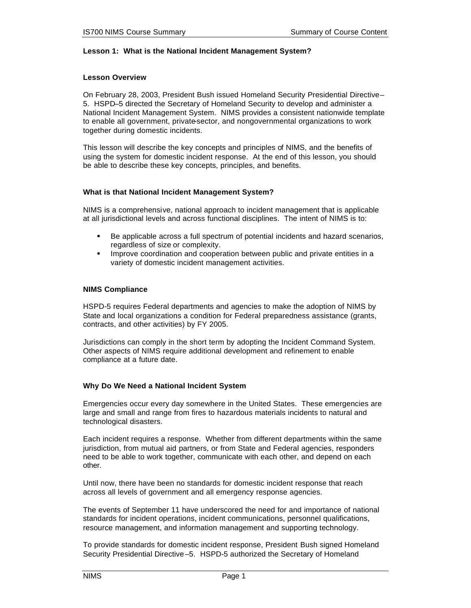## **Lesson 1: What is the National Incident Management System?**

### **Lesson Overview**

On February 28, 2003, President Bush issued Homeland Security Presidential Directive– 5. HSPD–5 directed the Secretary of Homeland Security to develop and administer a National Incident Management System. NIMS provides a consistent nationwide template to enable all government, private-sector, and nongovernmental organizations to work together during domestic incidents.

This lesson will describe the key concepts and principles of NIMS, and the benefits of using the system for domestic incident response. At the end of this lesson, you should be able to describe these key concepts, principles, and benefits.

## **What is that National Incident Management System?**

NIMS is a comprehensive, national approach to incident management that is applicable at all jurisdictional levels and across functional disciplines. The intent of NIMS is to:

- **Be applicable across a full spectrum of potential incidents and hazard scenarios,** regardless of size or complexity.
- **IMPROVE COORDINATION AND COOPERATION DETAINED AND ADDETERATION IN A LATA COOPERATION IN A LATA COOPERATION** variety of domestic incident management activities.

## **NIMS Compliance**

HSPD-5 requires Federal departments and agencies to make the adoption of NIMS by State and local organizations a condition for Federal preparedness assistance (grants, contracts, and other activities) by FY 2005.

Jurisdictions can comply in the short term by adopting the Incident Command System. Other aspects of NIMS require additional development and refinement to enable compliance at a future date.

### **Why Do We Need a National Incident System**

Emergencies occur every day somewhere in the United States. These emergencies are large and small and range from fires to hazardous materials incidents to natural and technological disasters.

Each incident requires a response. Whether from different departments within the same jurisdiction, from mutual aid partners, or from State and Federal agencies, responders need to be able to work together, communicate with each other, and depend on each other.

Until now, there have been no standards for domestic incident response that reach across all levels of government and all emergency response agencies.

The events of September 11 have underscored the need for and importance of national standards for incident operations, incident communications, personnel qualifications, resource management, and information management and supporting technology.

To provide standards for domestic incident response, President Bush signed Homeland Security Presidential Directive –5. HSPD-5 authorized the Secretary of Homeland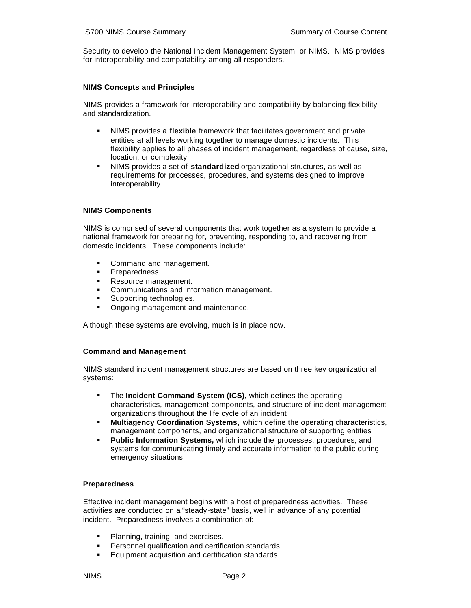Security to develop the National Incident Management System, or NIMS. NIMS provides for interoperability and compatability among all responders.

## **NIMS Concepts and Principles**

NIMS provides a framework for interoperability and compatibility by balancing flexibility and standardization.

- **NIMS** provides a flexible framework that facilitates government and private entities at all levels working together to manage domestic incidents. This flexibility applies to all phases of incident management, regardless of cause, size, location, or complexity.
- ß NIMS provides a set of **standardized** organizational structures, as well as requirements for processes, procedures, and systems designed to improve interoperability.

## **NIMS Components**

NIMS is comprised of several components that work together as a system to provide a national framework for preparing for, preventing, responding to, and recovering from domestic incidents. These components include:

- Command and management.
- **•** Preparedness.
- Resource management.
- **Communications and information management.**
- **Supporting technologies.**
- Ongoing management and maintenance.

Although these systems are evolving, much is in place now.

### **Command and Management**

NIMS standard incident management structures are based on three key organizational systems:

- **The Incident Command System (ICS), which defines the operating** characteristics, management components, and structure of incident management organizations throughout the life cycle of an incident
- **Multiagency Coordination Systems, which define the operating characteristics,** management components, and organizational structure of supporting entities
- **Public Information Systems,** which include the processes, procedures, and systems for communicating timely and accurate information to the public during emergency situations

### **Preparedness**

Effective incident management begins with a host of preparedness activities. These activities are conducted on a "steady-state" basis, well in advance of any potential incident. Preparedness involves a combination of:

- **Planning, training, and exercises.**
- ß Personnel qualification and certification standards.
- ß Equipment acquisition and certification standards.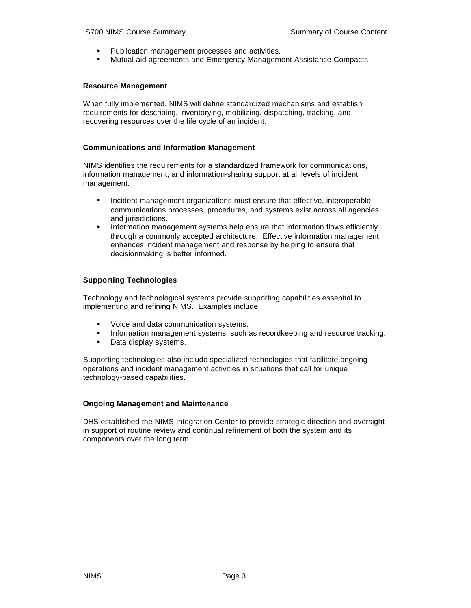- Publication management processes and activities.
- **Mutual aid agreements and Emergency Management Assistance Compacts.**

### **Resource Management**

When fully implemented, NIMS will define standardized mechanisms and establish requirements for describing, inventorying, mobilizing, dispatching, tracking, and recovering resources over the life cycle of an incident.

## **Communications and Information Management**

NIMS identifies the requirements for a standardized framework for communications, information management, and information-sharing support at all levels of incident management.

- **I.** Incident management organizations must ensure that effective, interoperable communications processes, procedures, and systems exist across all agencies and jurisdictions.
- **Information management systems help ensure that information flows efficiently** through a commonly accepted architecture. Effective information management enhances incident management and response by helping to ensure that decisionmaking is better informed.

# **Supporting Technologies**

Technology and technological systems provide supporting capabilities essential to implementing and refining NIMS. Examples include:

- ß Voice and data communication systems.
- **Information management systems, such as recordkeeping and resource tracking.**
- Data display systems.

Supporting technologies also include specialized technologies that facilitate ongoing operations and incident management activities in situations that call for unique technology-based capabilities.

### **Ongoing Management and Maintenance**

DHS established the NIMS Integration Center to provide strategic direction and oversight in support of routine review and continual refinement of both the system and its components over the long term.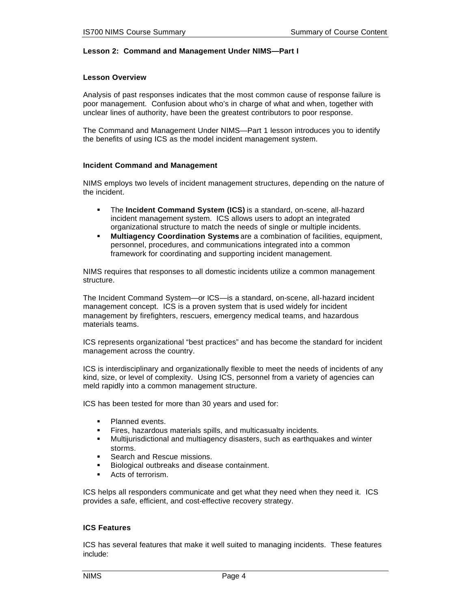## **Lesson 2: Command and Management Under NIMS—Part I**

#### **Lesson Overview**

Analysis of past responses indicates that the most common cause of response failure is poor management. Confusion about who's in charge of what and when, together with unclear lines of authority, have been the greatest contributors to poor response.

The Command and Management Under NIMS—Part 1 lesson introduces you to identify the benefits of using ICS as the model incident management system.

#### **Incident Command and Management**

NIMS employs two levels of incident management structures, depending on the nature of the incident.

- ß The **Incident Command System (ICS)** is a standard, on-scene, all-hazard incident management system. ICS allows users to adopt an integrated organizational structure to match the needs of single or multiple incidents.
- **Multiagency Coordination Systems** are a combination of facilities, equipment, personnel, procedures, and communications integrated into a common framework for coordinating and supporting incident management.

NIMS requires that responses to all domestic incidents utilize a common management structure.

The Incident Command System—or ICS—is a standard, on-scene, all-hazard incident management concept. ICS is a proven system that is used widely for incident management by firefighters, rescuers, emergency medical teams, and hazardous materials teams.

ICS represents organizational "best practices" and has become the standard for incident management across the country.

ICS is interdisciplinary and organizationally flexible to meet the needs of incidents of any kind, size, or level of complexity. Using ICS, personnel from a variety of agencies can meld rapidly into a common management structure.

ICS has been tested for more than 30 years and used for:

- Planned events.
- **Fires, hazardous materials spills, and multicasualty incidents.**<br>• Multiiurisdictional and multiagency disasters, such as earthqua
- ß Multijurisdictional and multiagency disasters, such as earthquakes and winter storms.
- Search and Rescue missions.
- ß Biological outbreaks and disease containment.
- **B** Acts of terrorism.

ICS helps all responders communicate and get what they need when they need it. ICS provides a safe, efficient, and cost-effective recovery strategy.

## **ICS Features**

ICS has several features that make it well suited to managing incidents. These features include: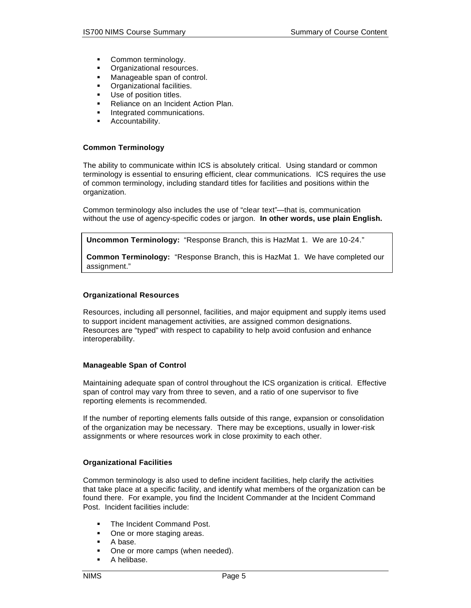- **•** Common terminology.
- **•** Organizational resources.
- Manageable span of control.
- **•** Organizational facilities.
- **Use of position titles.**
- Reliance on an Incident Action Plan.
- **Integrated communications.**
- **•** Accountability.

# **Common Terminology**

The ability to communicate within ICS is absolutely critical. Using standard or common terminology is essential to ensuring efficient, clear communications. ICS requires the use of common terminology, including standard titles for facilities and positions within the organization.

Common terminology also includes the use of "clear text"—that is, communication without the use of agency-specific codes or jargon. **In other words, use plain English.**

**Uncommon Terminology:** "Response Branch, this is HazMat 1. We are 10-24."

**Common Terminology:** "Response Branch, this is HazMat 1. We have completed our assignment."

## **Organizational Resources**

Resources, including all personnel, facilities, and major equipment and supply items used to support incident management activities, are assigned common designations. Resources are "typed" with respect to capability to help avoid confusion and enhance interoperability.

# **Manageable Span of Control**

Maintaining adequate span of control throughout the ICS organization is critical. Effective span of control may vary from three to seven, and a ratio of one supervisor to five reporting elements is recommended.

If the number of reporting elements falls outside of this range, expansion or consolidation of the organization may be necessary. There may be exceptions, usually in lower-risk assignments or where resources work in close proximity to each other.

# **Organizational Facilities**

Common terminology is also used to define incident facilities, help clarify the activities that take place at a specific facility, and identify what members of the organization can be found there. For example, you find the Incident Commander at the Incident Command Post. Incident facilities include:

- The Incident Command Post.
- One or more staging areas.
- $\blacksquare$  A base.
- One or more camps (when needed).
- **A** helibase.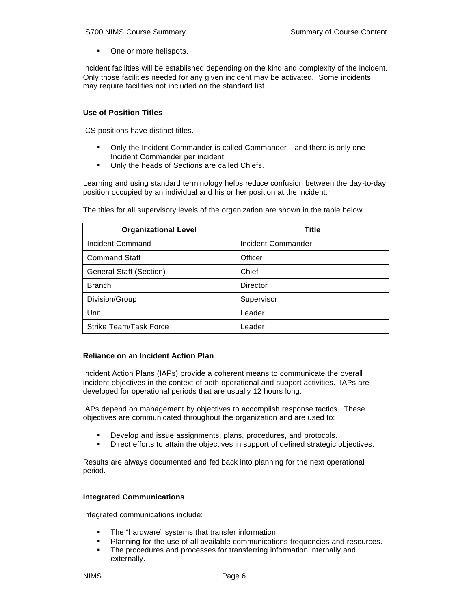One or more helispots.

Incident facilities will be established depending on the kind and complexity of the incident. Only those facilities needed for any given incident may be activated. Some incidents may require facilities not included on the standard list.

# **Use of Position Titles**

ICS positions have distinct titles.

- Only the Incident Commander is called Commander—and there is only one Incident Commander per incident.
- Only the heads of Sections are called Chiefs.

Learning and using standard terminology helps reduce confusion between the day-to-day position occupied by an individual and his or her position at the incident.

| <b>Organizational Level</b>    | <b>Title</b>       |
|--------------------------------|--------------------|
| Incident Command               | Incident Commander |
| <b>Command Staff</b>           | Officer            |
| <b>General Staff (Section)</b> | Chief              |
| <b>Branch</b>                  | <b>Director</b>    |
| Division/Group                 | Supervisor         |
| Unit                           | Leader             |
| Strike Team/Task Force         | Leader             |

The titles for all supervisory levels of the organization are shown in the table below.

# **Reliance on an Incident Action Plan**

Incident Action Plans (IAPs) provide a coherent means to communicate the overall incident objectives in the context of both operational and support activities. IAPs are developed for operational periods that are usually 12 hours long.

IAPs depend on management by objectives to accomplish response tactics. These objectives are communicated throughout the organization and are used to:

- Develop and issue assignments, plans, procedures, and protocols.
- ß Direct efforts to attain the objectives in support of defined strategic objectives.

Results are always documented and fed back into planning for the next operational period.

# **Integrated Communications**

Integrated communications include:

- **F** The "hardware" systems that transfer information.
- ß Planning for the use of all available communications frequencies and resources.
- The procedures and processes for transferring information internally and externally.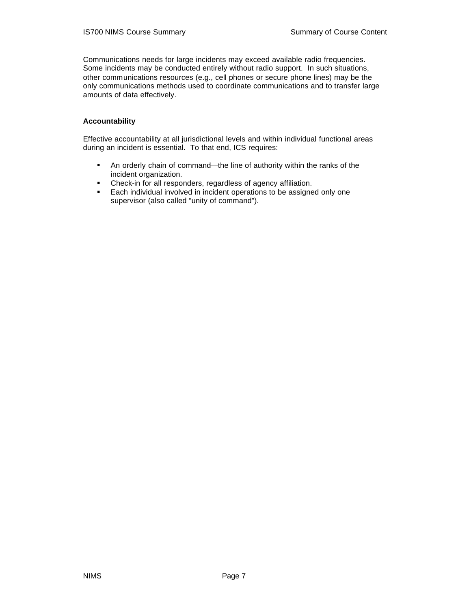Communications needs for large incidents may exceed available radio frequencies. Some incidents may be conducted entirely without radio support. In such situations, other communications resources (e.g., cell phones or secure phone lines) may be the only communications methods used to coordinate communications and to transfer large amounts of data effectively.

# **Accountability**

Effective accountability at all jurisdictional levels and within individual functional areas during an incident is essential. To that end, ICS requires:

- An orderly chain of command—the line of authority within the ranks of the incident organization.
- Check-in for all responders, regardless of agency affiliation.
- **Each individual involved in incident operations to be assigned only one** supervisor (also called "unity of command").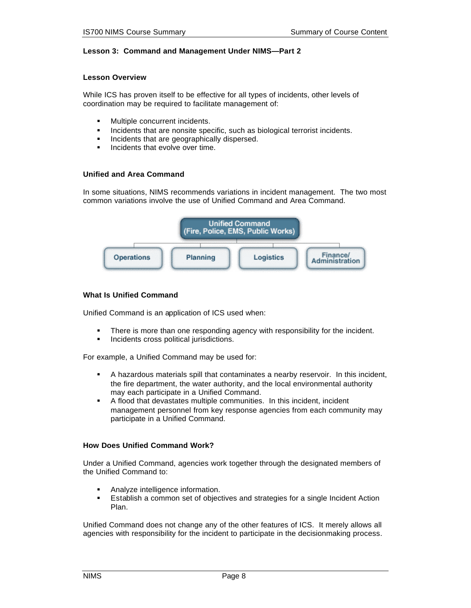## **Lesson 3: Command and Management Under NIMS—Part 2**

### **Lesson Overview**

While ICS has proven itself to be effective for all types of incidents, other levels of coordination may be required to facilitate management of:

- **K** Multiple concurrent incidents.
- **Incidents that are nonsite specific, such as biological terrorist incidents.**
- **Incidents that are geographically dispersed.**
- **Incidents that evolve over time.**

# **Unified and Area Command**

In some situations, NIMS recommends variations in incident management. The two most common variations involve the use of Unified Command and Area Command.



### **What Is Unified Command**

Unified Command is an application of ICS used when:

- There is more than one responding agency with responsibility for the incident.
- ß Incidents cross political jurisdictions.

For example, a Unified Command may be used for:

- **A** hazardous materials spill that contaminates a nearby reservoir. In this incident, the fire department, the water authority, and the local environmental authority may each participate in a Unified Command.
- A flood that devastates multiple communities. In this incident, incident management personnel from key response agencies from each community may participate in a Unified Command.

### **How Does Unified Command Work?**

Under a Unified Command, agencies work together through the designated members of the Unified Command to:

- **Analyze intelligence information.**
- **Establish a common set of objectives and strategies for a single Incident Action** Plan.

Unified Command does not change any of the other features of ICS. It merely allows all agencies with responsibility for the incident to participate in the decisionmaking process.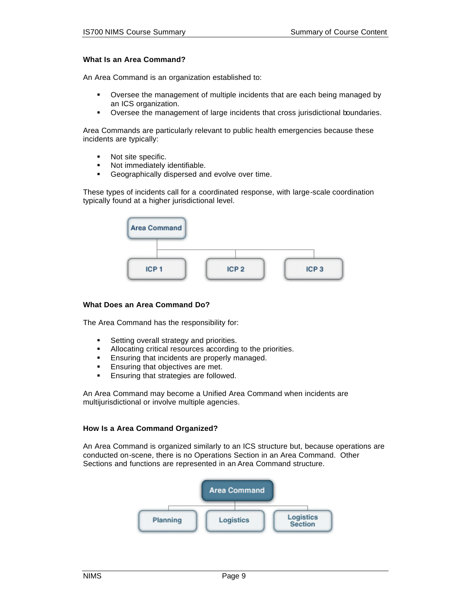# **What Is an Area Command?**

An Area Command is an organization established to:

- Oversee the management of multiple incidents that are each being managed by an ICS organization.
- **•** Oversee the management of large incidents that cross jurisdictional boundaries.

Area Commands are particularly relevant to public health emergencies because these incidents are typically:

- Not site specific.
- Not immediately identifiable.
- **Geographically dispersed and evolve over time.**

These types of incidents call for a coordinated response, with large-scale coordination typically found at a higher jurisdictional level.



### **What Does an Area Command Do?**

The Area Command has the responsibility for:

- **Setting overall strategy and priorities.**
- **Allocating critical resources according to the priorities.**
- **Ensuring that incidents are properly managed.**
- **Ensuring that objectives are met.**
- **Ensuring that strategies are followed.**

An Area Command may become a Unified Area Command when incidents are multijurisdictional or involve multiple agencies.

# **How Is a Area Command Organized?**

An Area Command is organized similarly to an ICS structure but, because operations are conducted on-scene, there is no Operations Section in an Area Command. Other Sections and functions are represented in an Area Command structure.

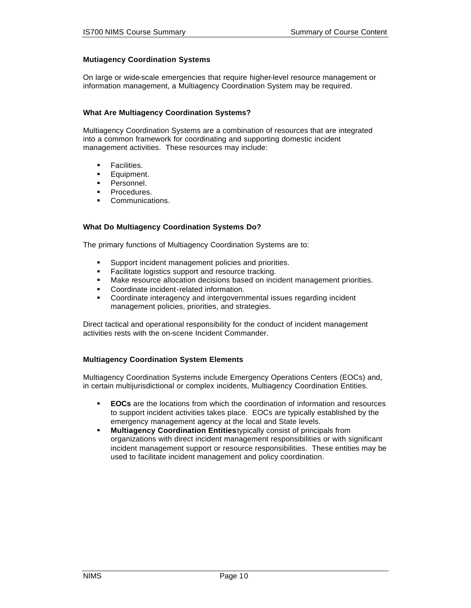# **Mutiagency Coordination Systems**

On large or wide-scale emergencies that require higher-level resource management or information management, a Multiagency Coordination System may be required.

# **What Are Multiagency Coordination Systems?**

Multiagency Coordination Systems are a combination of resources that are integrated into a common framework for coordinating and supporting domestic incident management activities. These resources may include:

- **Facilities.**
- **Equipment.**
- **Personnel.**
- **•** Procedures.
- ß Communications.

# **What Do Multiagency Coordination Systems Do?**

The primary functions of Multiagency Coordination Systems are to:

- **Support incident management policies and priorities.**
- **Facilitate logistics support and resource tracking.**
- **Make resource allocation decisions based on incident management priorities.**
- **•** Coordinate incident-related information.
- ß Coordinate interagency and intergovernmental issues regarding incident management policies, priorities, and strategies.

Direct tactical and operational responsibility for the conduct of incident management activities rests with the on-scene Incident Commander.

# **Multiagency Coordination System Elements**

Multiagency Coordination Systems include Emergency Operations Centers (EOCs) and, in certain multijurisdictional or complex incidents, Multiagency Coordination Entities.

- **EOCs** are the locations from which the coordination of information and resources to support incident activities takes place. EOCs are typically established by the emergency management agency at the local and State levels.
- **Multiagency Coordination Entities** typically consist of principals from organizations with direct incident management responsibilities or with significant incident management support or resource responsibilities. These entities may be used to facilitate incident management and policy coordination.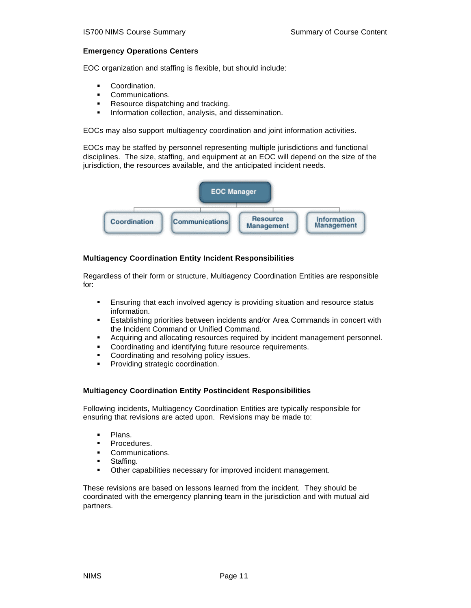# **Emergency Operations Centers**

EOC organization and staffing is flexible, but should include:

- **•** Coordination.
- Communications.
- Resource dispatching and tracking.
- **Information collection, analysis, and dissemination.**

EOCs may also support multiagency coordination and joint information activities.

EOCs may be staffed by personnel representing multiple jurisdictions and functional disciplines. The size, staffing, and equipment at an EOC will depend on the size of the jurisdiction, the resources available, and the anticipated incident needs.



# **Multiagency Coordination Entity Incident Responsibilities**

Regardless of their form or structure, Multiagency Coordination Entities are responsible for:

- **Ensuring that each involved agency is providing situation and resource status** information.
- **Establishing priorities between incidents and/or Area Commands in concert with** the Incident Command or Unified Command.
- **EXED Acquiring and allocating resources required by incident management personnel.**
- ß Coordinating and identifying future resource requirements.
- Coordinating and resolving policy issues.
- **•** Providing strategic coordination.

# **Multiagency Coordination Entity Postincident Responsibilities**

Following incidents, Multiagency Coordination Entities are typically responsible for ensuring that revisions are acted upon. Revisions may be made to:

- **Plans.**
- **•** Procedures.
- **Communications.**
- **Staffing.**
- Other capabilities necessary for improved incident management.

These revisions are based on lessons learned from the incident. They should be coordinated with the emergency planning team in the jurisdiction and with mutual aid partners.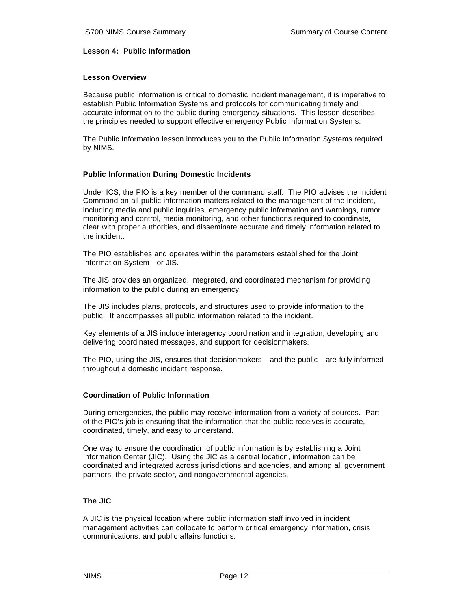# **Lesson 4: Public Information**

## **Lesson Overview**

Because public information is critical to domestic incident management, it is imperative to establish Public Information Systems and protocols for communicating timely and accurate information to the public during emergency situations. This lesson describes the principles needed to support effective emergency Public Information Systems.

The Public Information lesson introduces you to the Public Information Systems required by NIMS.

# **Public Information During Domestic Incidents**

Under ICS, the PIO is a key member of the command staff. The PIO advises the Incident Command on all public information matters related to the management of the incident, including media and public inquiries, emergency public information and warnings, rumor monitoring and control, media monitoring, and other functions required to coordinate, clear with proper authorities, and disseminate accurate and timely information related to the incident.

The PIO establishes and operates within the parameters established for the Joint Information System—or JIS.

The JIS provides an organized, integrated, and coordinated mechanism for providing information to the public during an emergency.

The JIS includes plans, protocols, and structures used to provide information to the public. It encompasses all public information related to the incident.

Key elements of a JIS include interagency coordination and integration, developing and delivering coordinated messages, and support for decisionmakers.

The PIO, using the JIS, ensures that decisionmakers—and the public—are fully informed throughout a domestic incident response.

# **Coordination of Public Information**

During emergencies, the public may receive information from a variety of sources. Part of the PIO's job is ensuring that the information that the public receives is accurate, coordinated, timely, and easy to understand.

One way to ensure the coordination of public information is by establishing a Joint Information Center (JIC). Using the JIC as a central location, information can be coordinated and integrated across jurisdictions and agencies, and among all government partners, the private sector, and nongovernmental agencies.

# **The JIC**

A JIC is the physical location where public information staff involved in incident management activities can collocate to perform critical emergency information, crisis communications, and public affairs functions.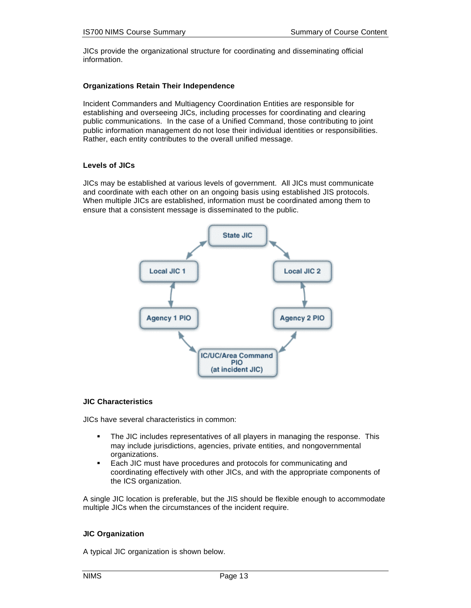JICs provide the organizational structure for coordinating and disseminating official information.

# **Organizations Retain Their Independence**

Incident Commanders and Multiagency Coordination Entities are responsible for establishing and overseeing JICs, including processes for coordinating and clearing public communications. In the case of a Unified Command, those contributing to joint public information management do not lose their individual identities or responsibilities. Rather, each entity contributes to the overall unified message.

# **Levels of JICs**

JICs may be established at various levels of government. All JICs must communicate and coordinate with each other on an ongoing basis using established JIS protocols. When multiple JICs are established, information must be coordinated among them to ensure that a consistent message is disseminated to the public.



# **JIC Characteristics**

JICs have several characteristics in common:

- **The JIC includes representatives of all players in managing the response.** This may include jurisdictions, agencies, private entities, and nongovernmental organizations.
- **Each JIC must have procedures and protocols for communicating and** coordinating effectively with other JICs, and with the appropriate components of the ICS organization.

A single JIC location is preferable, but the JIS should be flexible enough to accommodate multiple JICs when the circumstances of the incident require.

# **JIC Organization**

A typical JIC organization is shown below.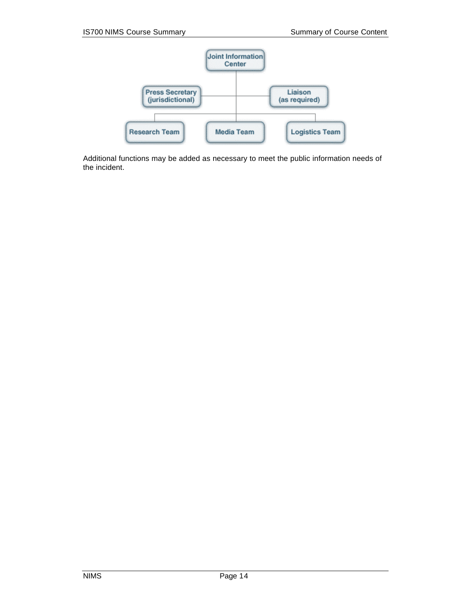

Additional functions may be added as necessary to meet the public information needs of the incident.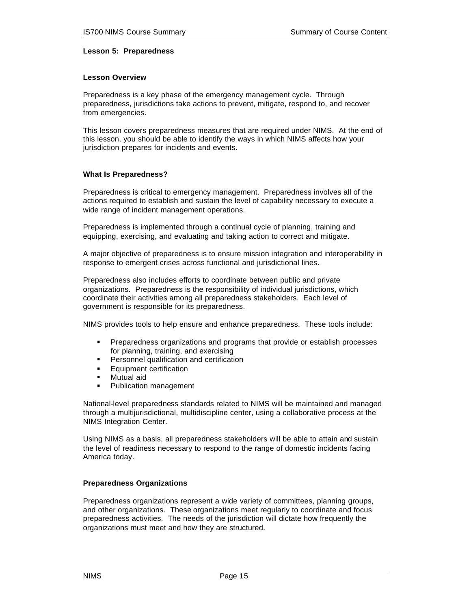# **Lesson 5: Preparedness**

### **Lesson Overview**

Preparedness is a key phase of the emergency management cycle. Through preparedness, jurisdictions take actions to prevent, mitigate, respond to, and recover from emergencies.

This lesson covers preparedness measures that are required under NIMS. At the end of this lesson, you should be able to identify the ways in which NIMS affects how your jurisdiction prepares for incidents and events.

## **What Is Preparedness?**

Preparedness is critical to emergency management. Preparedness involves all of the actions required to establish and sustain the level of capability necessary to execute a wide range of incident management operations.

Preparedness is implemented through a continual cycle of planning, training and equipping, exercising, and evaluating and taking action to correct and mitigate.

A major objective of preparedness is to ensure mission integration and interoperability in response to emergent crises across functional and jurisdictional lines.

Preparedness also includes efforts to coordinate between public and private organizations. Preparedness is the responsibility of individual jurisdictions, which coordinate their activities among all preparedness stakeholders. Each level of government is responsible for its preparedness.

NIMS provides tools to help ensure and enhance preparedness. These tools include:

- **•** Preparedness organizations and programs that provide or establish processes for planning, training, and exercising
- **•** Personnel qualification and certification
- **Equipment certification**
- ß Mutual aid
- **•** Publication management

National-level preparedness standards related to NIMS will be maintained and managed through a multijurisdictional, multidiscipline center, using a collaborative process at the NIMS Integration Center.

Using NIMS as a basis, all preparedness stakeholders will be able to attain and sustain the level of readiness necessary to respond to the range of domestic incidents facing America today.

# **Preparedness Organizations**

Preparedness organizations represent a wide variety of committees, planning groups, and other organizations. These organizations meet regularly to coordinate and focus preparedness activities. The needs of the jurisdiction will dictate how frequently the organizations must meet and how they are structured.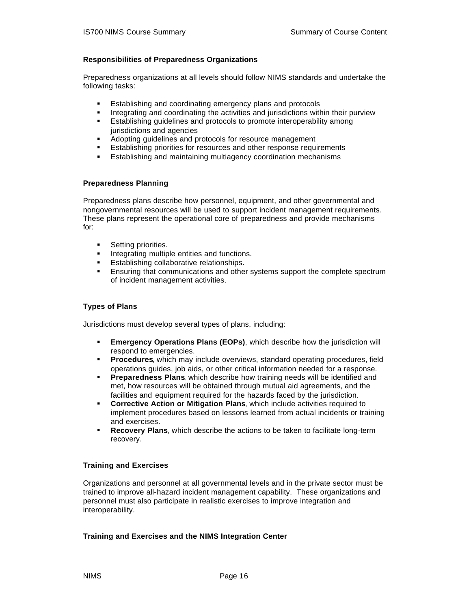# **Responsibilities of Preparedness Organizations**

Preparedness organizations at all levels should follow NIMS standards and undertake the following tasks:

- **Establishing and coordinating emergency plans and protocols**
- Integrating and coordinating the activities and jurisdictions within their purview<br>Establishing quidelines and protocols to promote interoperability among
- ß Establishing guidelines and protocols to promote interoperability among jurisdictions and agencies
- Adopting guidelines and protocols for resource management
- **E** Establishing priorities for resources and other response requirements
- **Establishing and maintaining multiagency coordination mechanisms**

# **Preparedness Planning**

Preparedness plans describe how personnel, equipment, and other governmental and nongovernmental resources will be used to support incident management requirements. These plans represent the operational core of preparedness and provide mechanisms for:

- **Setting priorities.**
- **Integrating multiple entities and functions.**
- **Establishing collaborative relationships.**
- **Ensuring that communications and other systems support the complete spectrum** of incident management activities.

# **Types of Plans**

Jurisdictions must develop several types of plans, including:

- **Emergency Operations Plans (EOPs)**, which describe how the jurisdiction will respond to emergencies.
- **Procedures**, which may include overviews, standard operating procedures, field operations guides, job aids, or other critical information needed for a response.
- **Preparedness Plans**, which describe how training needs will be identified and met, how resources will be obtained through mutual aid agreements, and the facilities and equipment required for the hazards faced by the jurisdiction.
- **Corrective Action or Mitigation Plans**, which include activities required to implement procedures based on lessons learned from actual incidents or training and exercises.
- **Recovery Plans**, which describe the actions to be taken to facilitate long-term recovery.

# **Training and Exercises**

Organizations and personnel at all governmental levels and in the private sector must be trained to improve all-hazard incident management capability. These organizations and personnel must also participate in realistic exercises to improve integration and interoperability.

# **Training and Exercises and the NIMS Integration Center**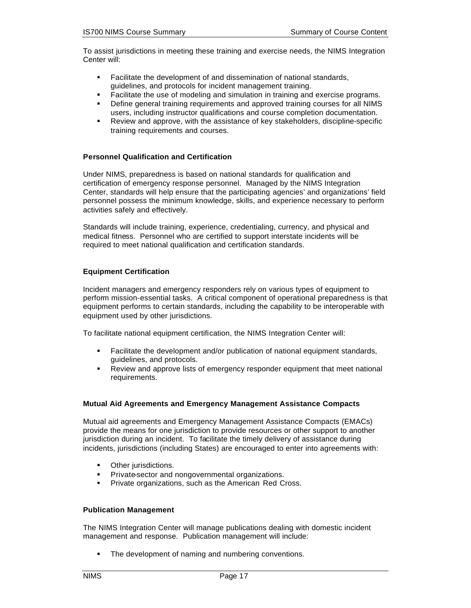To assist jurisdictions in meeting these training and exercise needs, the NIMS Integration Center will:

- ß Facilitate the development of and dissemination of national standards, guidelines, and protocols for incident management training.
- **Facilitate the use of modeling and simulation in training and exercise programs.**
- ß Define general training requirements and approved training courses for all NIMS users, including instructor qualifications and course completion documentation.
- **Review and approve, with the assistance of key stakeholders, discipline-specific** training requirements and courses.

# **Personnel Qualification and Certification**

Under NIMS, preparedness is based on national standards for qualification and certification of emergency response personnel. Managed by the NIMS Integration Center, standards will help ensure that the participating agencies' and organizations' field personnel possess the minimum knowledge, skills, and experience necessary to perform activities safely and effectively.

Standards will include training, experience, credentialing, currency, and physical and medical fitness. Personnel who are certified to support interstate incidents will be required to meet national qualification and certification standards.

# **Equipment Certification**

Incident managers and emergency responders rely on various types of equipment to perform mission-essential tasks. A critical component of operational preparedness is that equipment performs to certain standards, including the capability to be interoperable with equipment used by other jurisdictions.

To facilitate national equipment certification, the NIMS Integration Center will:

- **Facilitate the development and/or publication of national equipment standards,** guidelines, and protocols.
- **•** Review and approve lists of emergency responder equipment that meet national requirements.

# **Mutual Aid Agreements and Emergency Management Assistance Compacts**

Mutual aid agreements and Emergency Management Assistance Compacts (EMACs) provide the means for one jurisdiction to provide resources or other support to another jurisdiction during an incident. To facilitate the timely delivery of assistance during incidents, jurisdictions (including States) are encouraged to enter into agreements with:

- **•** Other jurisdictions.
- ß Private-sector and nongovernmental organizations.
- ß Private organizations, such as the American Red Cross.

# **Publication Management**

The NIMS Integration Center will manage publications dealing with domestic incident management and response. Publication management will include:

The development of naming and numbering conventions.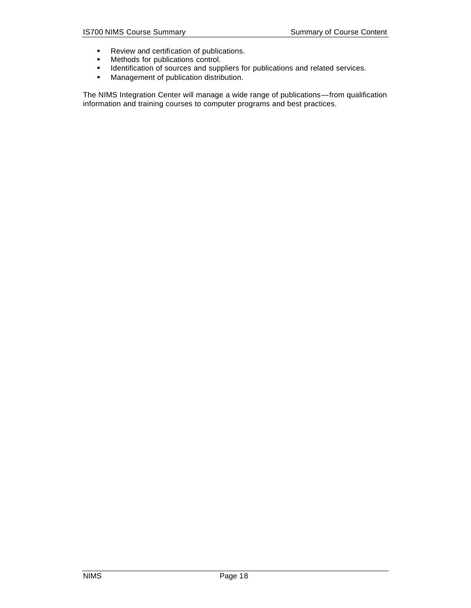- Review and certification of publications.
- **•** Methods for publications control.
- **IDENTIFICATED IS IDENT** Identification of sources and suppliers for publications and related services.
- **•** Management of publication distribution.

The NIMS Integration Center will manage a wide range of publications—from qualification information and training courses to computer programs and best practices.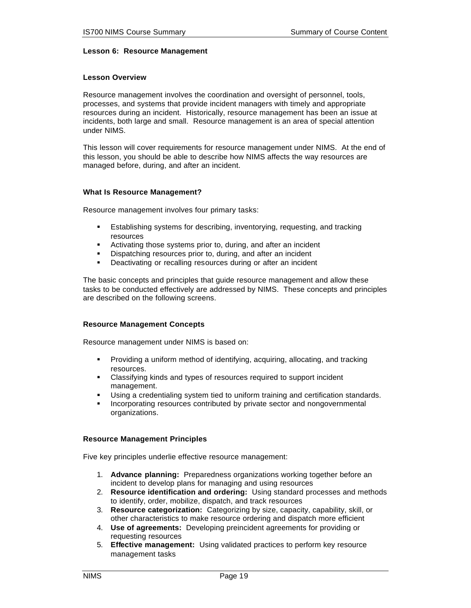### **Lesson 6: Resource Management**

### **Lesson Overview**

Resource management involves the coordination and oversight of personnel, tools, processes, and systems that provide incident managers with timely and appropriate resources during an incident. Historically, resource management has been an issue at incidents, both large and small. Resource management is an area of special attention under NIMS.

This lesson will cover requirements for resource management under NIMS. At the end of this lesson, you should be able to describe how NIMS affects the way resources are managed before, during, and after an incident.

### **What Is Resource Management?**

Resource management involves four primary tasks:

- ß Establishing systems for describing, inventorying, requesting, and tracking resources
- **EXECT** Activating those systems prior to, during, and after an incident
- ß Dispatching resources prior to, during, and after an incident
- **•** Deactivating or recalling resources during or after an incident

The basic concepts and principles that guide resource management and allow these tasks to be conducted effectively are addressed by NIMS. These concepts and principles are described on the following screens.

### **Resource Management Concepts**

Resource management under NIMS is based on:

- ß Providing a uniform method of identifying, acquiring, allocating, and tracking resources.
- Classifying kinds and types of resources required to support incident management.
- **Using a credentialing system tied to uniform training and certification standards.**
- ß Incorporating resources contributed by private sector and nongovernmental organizations.

### **Resource Management Principles**

Five key principles underlie effective resource management:

- 1. **Advance planning:** Preparedness organizations working together before an incident to develop plans for managing and using resources
- 2. **Resource identification and ordering:** Using standard processes and methods to identify, order, mobilize, dispatch, and track resources
- 3. **Resource categorization:** Categorizing by size, capacity, capability, skill, or other characteristics to make resource ordering and dispatch more efficient
- 4. **Use of agreements:** Developing preincident agreements for providing or requesting resources
- 5. **Effective management:** Using validated practices to perform key resource management tasks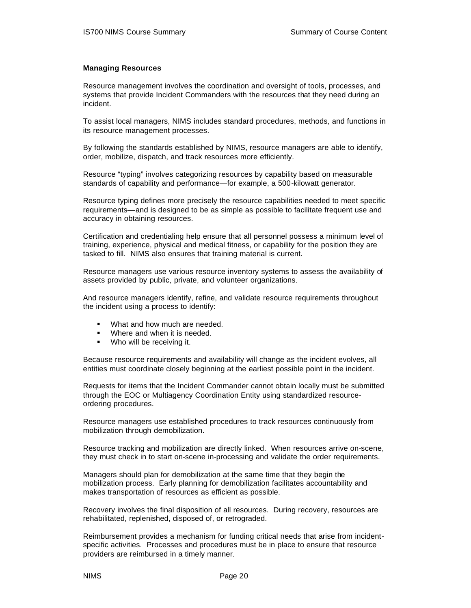# **Managing Resources**

Resource management involves the coordination and oversight of tools, processes, and systems that provide Incident Commanders with the resources that they need during an incident.

To assist local managers, NIMS includes standard procedures, methods, and functions in its resource management processes.

By following the standards established by NIMS, resource managers are able to identify, order, mobilize, dispatch, and track resources more efficiently.

Resource "typing" involves categorizing resources by capability based on measurable standards of capability and performance—for example, a 500-kilowatt generator.

Resource typing defines more precisely the resource capabilities needed to meet specific requirements—and is designed to be as simple as possible to facilitate frequent use and accuracy in obtaining resources.

Certification and credentialing help ensure that all personnel possess a minimum level of training, experience, physical and medical fitness, or capability for the position they are tasked to fill. NIMS also ensures that training material is current.

Resource managers use various resource inventory systems to assess the availability of assets provided by public, private, and volunteer organizations.

And resource managers identify, refine, and validate resource requirements throughout the incident using a process to identify:

- What and how much are needed.
- Where and when it is needed.
- Who will be receiving it.

Because resource requirements and availability will change as the incident evolves, all entities must coordinate closely beginning at the earliest possible point in the incident.

Requests for items that the Incident Commander cannot obtain locally must be submitted through the EOC or Multiagency Coordination Entity using standardized resourceordering procedures.

Resource managers use established procedures to track resources continuously from mobilization through demobilization.

Resource tracking and mobilization are directly linked. When resources arrive on-scene, they must check in to start on-scene in-processing and validate the order requirements.

Managers should plan for demobilization at the same time that they begin the mobilization process. Early planning for demobilization facilitates accountability and makes transportation of resources as efficient as possible.

Recovery involves the final disposition of all resources. During recovery, resources are rehabilitated, replenished, disposed of, or retrograded.

Reimbursement provides a mechanism for funding critical needs that arise from incidentspecific activities. Processes and procedures must be in place to ensure that resource providers are reimbursed in a timely manner.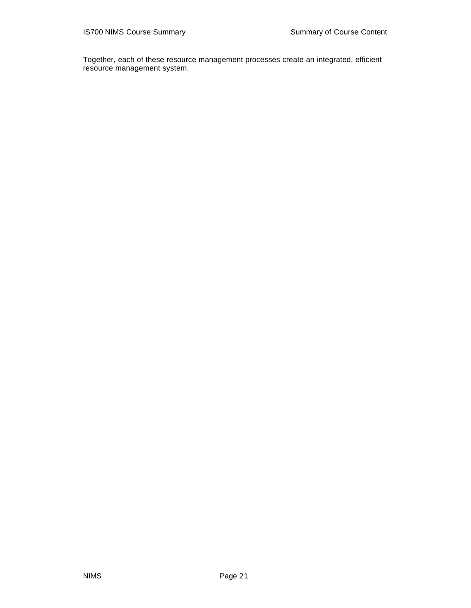Together, each of these resource management processes create an integrated, efficient resource management system.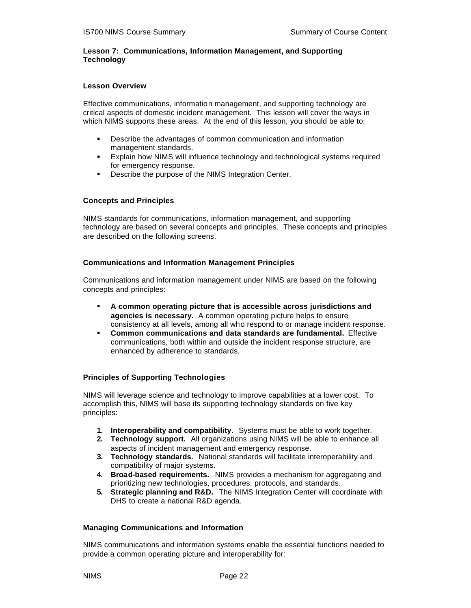# **Lesson 7: Communications, Information Management, and Supporting Technology**

## **Lesson Overview**

Effective communications, information management, and supporting technology are critical aspects of domestic incident management. This lesson will cover the ways in which NIMS supports these areas. At the end of this lesson, you should be able to:

- **BEDE 2018 INCO and SET ADEOS COMMON COMMUNICATION And Information** management standards.
- **Explain how NIMS will influence technology and technological systems required** for emergency response.
- **•** Describe the purpose of the NIMS Integration Center.

## **Concepts and Principles**

NIMS standards for communications, information management, and supporting technology are based on several concepts and principles. These concepts and principles are described on the following screens.

## **Communications and Information Management Principles**

Communications and information management under NIMS are based on the following concepts and principles:

- ß **A common operating picture that is accessible across jurisdictions and agencies is necessary.** A common operating picture helps to ensure consistency at all levels, among all who respond to or manage incident response.
- **EXECOMMON COMMUNICATIONS AND data standards are fundamental.** Effective communications, both within and outside the incident response structure, are enhanced by adherence to standards.

# **Principles of Supporting Technologies**

NIMS will leverage science and technology to improve capabilities at a lower cost. To accomplish this, NIMS will base its supporting technology standards on five key principles:

- **1. Interoperability and compatibility.** Systems must be able to work together.
- **2. Technology support.** All organizations using NIMS will be able to enhance all aspects of incident management and emergency response.
- **3. Technology standards.** National standards will facilitate interoperability and compatibility of major systems.
- **4. Broad-based requirements.** NIMS provides a mechanism for aggregating and prioritizing new technologies, procedures, protocols, and standards.
- **5. Strategic planning and R&D.** The NIMS Integration Center will coordinate with DHS to create a national R&D agenda.

# **Managing Communications and Information**

NIMS communications and information systems enable the essential functions needed to provide a common operating picture and interoperability for: